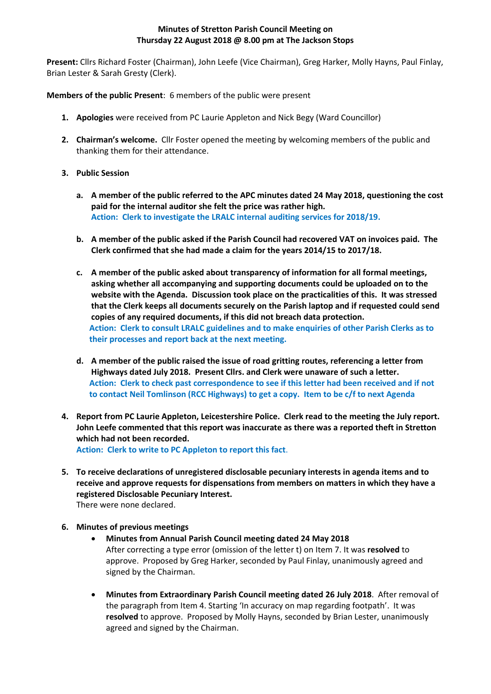# **Minutes of Stretton Parish Council Meeting on Thursday 22 August 2018 @ 8.00 pm at The Jackson Stops**

**Present:** Cllrs Richard Foster (Chairman), John Leefe (Vice Chairman), Greg Harker, Molly Hayns, Paul Finlay, Brian Lester & Sarah Gresty (Clerk).

**Members of the public Present**: 6 members of the public were present

- **1. Apologies** were received from PC Laurie Appleton and Nick Begy (Ward Councillor)
- **2. Chairman's welcome.** Cllr Foster opened the meeting by welcoming members of the public and thanking them for their attendance.
- **3. Public Session**
	- **a. A member of the public referred to the APC minutes dated 24 May 2018, questioning the cost paid for the internal auditor she felt the price was rather high. Action: Clerk to investigate the LRALC internal auditing services for 2018/19.**
	- **b. A member of the public asked if the Parish Council had recovered VAT on invoices paid. The Clerk confirmed that she had made a claim for the years 2014/15 to 2017/18.**
	- **c. A member of the public asked about transparency of information for all formal meetings, asking whether all accompanying and supporting documents could be uploaded on to the website with the Agenda. Discussion took place on the practicalities of this. It was stressed that the Clerk keeps all documents securely on the Parish laptop and if requested could send copies of any required documents, if this did not breach data protection. Action: Clerk to consult LRALC guidelines and to make enquiries of other Parish Clerks as to their processes and report back at the next meeting.**
	- **d. A member of the public raised the issue of road gritting routes, referencing a letter from Highways dated July 2018. Present Cllrs. and Clerk were unaware of such a letter. Action: Clerk to check past correspondence to see if this letter had been received and if not to contact Neil Tomlinson (RCC Highways) to get a copy. Item to be c/f to next Agenda**
- **4. Report from PC Laurie Appleton, Leicestershire Police. Clerk read to the meeting the July report. John Leefe commented that this report was inaccurate as there was a reported theft in Stretton which had not been recorded.**

**Action: Clerk to write to PC Appleton to report this fact**.

- **5. To receive declarations of unregistered disclosable pecuniary interests in agenda items and to receive and approve requests for dispensations from members on matters in which they have a registered Disclosable Pecuniary Interest.** There were none declared.
- **6. Minutes of previous meetings**
	- **Minutes from Annual Parish Council meeting dated 24 May 2018** After correcting a type error (omission of the letter t) on Item 7. It was **resolved** to approve. Proposed by Greg Harker, seconded by Paul Finlay, unanimously agreed and signed by the Chairman.
	- **Minutes from Extraordinary Parish Council meeting dated 26 July 2018**. After removal of the paragraph from Item 4. Starting 'In accuracy on map regarding footpath'. It was **resolved** to approve. Proposed by Molly Hayns, seconded by Brian Lester, unanimously agreed and signed by the Chairman.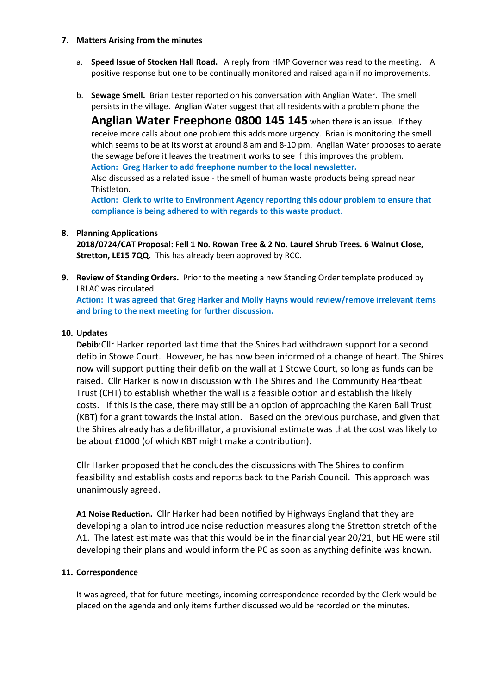### **7. Matters Arising from the minutes**

- a. **Speed Issue of Stocken Hall Road.** A reply from HMP Governor was read to the meeting. A positive response but one to be continually monitored and raised again if no improvements.
- b. **Sewage Smell.** Brian Lester reported on his conversation with Anglian Water. The smell persists in the village. Anglian Water suggest that all residents with a problem phone the

**Anglian Water Freephone 0800 145 145** when there is an issue. If they receive more calls about one problem this adds more urgency. Brian is monitoring the smell which seems to be at its worst at around 8 am and 8-10 pm. Anglian Water proposes to aerate the sewage before it leaves the treatment works to see if this improves the problem. **Action: Greg Harker to add freephone number to the local newsletter.** 

Also discussed as a related issue - the smell of human waste products being spread near Thistleton.

**Action: Clerk to write to Environment Agency reporting this odour problem to ensure that compliance is being adhered to with regards to this waste product**.

## **8. Planning Applications**

**2018/0724/CAT Proposal: Fell 1 No. Rowan Tree & 2 No. Laurel Shrub Trees. 6 Walnut Close, Stretton, LE15 7QQ.** This has already been approved by RCC.

**9. Review of Standing Orders.** Prior to the meeting a new Standing Order template produced by LRLAC was circulated.

**Action: It was agreed that Greg Harker and Molly Hayns would review/remove irrelevant items and bring to the next meeting for further discussion.**

## **10. Updates**

**Debib**:Cllr Harker reported last time that the Shires had withdrawn support for a second defib in Stowe Court. However, he has now been informed of a change of heart. The Shires now will support putting their defib on the wall at 1 Stowe Court, so long as funds can be raised. Cllr Harker is now in discussion with The Shires and The Community Heartbeat Trust (CHT) to establish whether the wall is a feasible option and establish the likely costs. If this is the case, there may still be an option of approaching the Karen Ball Trust (KBT) for a grant towards the installation. Based on the previous purchase, and given that the Shires already has a defibrillator, a provisional estimate was that the cost was likely to be about £1000 (of which KBT might make a contribution).

Cllr Harker proposed that he concludes the discussions with The Shires to confirm feasibility and establish costs and reports back to the Parish Council. This approach was unanimously agreed.

**A1 Noise Reduction.** Cllr Harker had been notified by Highways England that they are developing a plan to introduce noise reduction measures along the Stretton stretch of the A1. The latest estimate was that this would be in the financial year 20/21, but HE were still developing their plans and would inform the PC as soon as anything definite was known.

## **11. Correspondence**

It was agreed, that for future meetings, incoming correspondence recorded by the Clerk would be placed on the agenda and only items further discussed would be recorded on the minutes.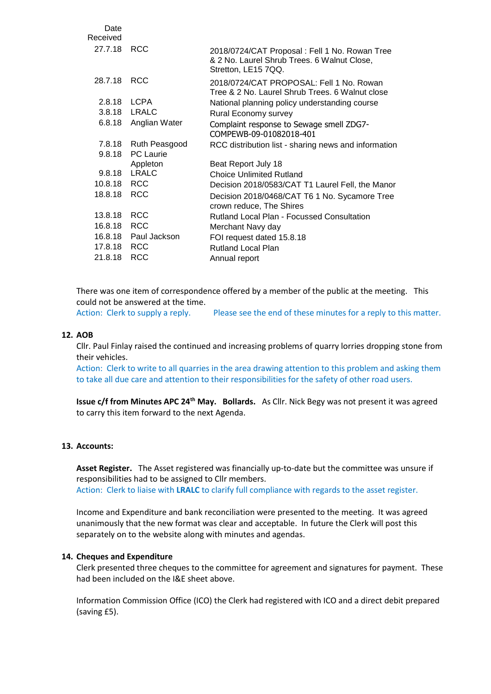| 27.7.18 RCC                | 2018/0724/CAT Proposal: Fell 1 No. Rowan Tree<br>& 2 No. Laurel Shrub Trees. 6 Walnut Close,<br>Stretton, LE15 7QQ. |
|----------------------------|---------------------------------------------------------------------------------------------------------------------|
| <b>RCC</b>                 | 2018/0724/CAT PROPOSAL: Fell 1 No. Rowan<br>Tree & 2 No. Laurel Shrub Trees, 6 Walnut close                         |
| 2.8.18 LCPA                | National planning policy understanding course                                                                       |
| <b>LRALC</b><br>3.8.18     | Rural Economy survey                                                                                                |
| 6.8.18<br>Anglian Water    | Complaint response to Sewage smell ZDG7-<br>COMPEWB-09-01082018-401                                                 |
| 7.8.18<br>Ruth Peasgood    | RCC distribution list - sharing news and information                                                                |
| <b>PC</b> Laurie<br>9.8.18 |                                                                                                                     |
| Appleton                   | Beat Report July 18                                                                                                 |
| LRALC                      | <b>Choice Unlimited Rutland</b>                                                                                     |
| 10.8.18 RCC                | Decision 2018/0583/CAT T1 Laurel Fell, the Manor                                                                    |
| <b>RCC</b><br>18.8.18      | Decision 2018/0468/CAT T6 1 No. Sycamore Tree<br>crown reduce, The Shires                                           |
| <b>RCC</b>                 | <b>Rutland Local Plan - Focussed Consultation</b>                                                                   |
| <b>RCC</b><br>16.8.18      | Merchant Navy day                                                                                                   |
| 16.8.18 Paul Jackson       | FOI request dated 15.8.18                                                                                           |
| <b>RCC</b><br>17.8.18      | <b>Rutland Local Plan</b>                                                                                           |
| <b>RCC</b>                 | Annual report                                                                                                       |
|                            |                                                                                                                     |

There was one item of correspondence offered by a member of the public at the meeting. This could not be answered at the time. Action: Clerk to supply a reply. Please see the end of these minutes for a reply to this matter.

#### **12. AOB**

Cllr. Paul Finlay raised the continued and increasing problems of quarry lorries dropping stone from their vehicles.

Action: Clerk to write to all quarries in the area drawing attention to this problem and asking them to take all due care and attention to their responsibilities for the safety of other road users.

**Issue c/f from Minutes APC 24th May. Bollards.** As Cllr. Nick Begy was not present it was agreed to carry this item forward to the next Agenda.

# **13. Accounts:**

**Asset Register.** The Asset registered was financially up-to-date but the committee was unsure if responsibilities had to be assigned to Cllr members. Action: Clerk to liaise with **LRALC** to clarify full compliance with regards to the asset register.

Income and Expenditure and bank reconciliation were presented to the meeting. It was agreed unanimously that the new format was clear and acceptable. In future the Clerk will post this

separately on to the website along with minutes and agendas.

### **14. Cheques and Expenditure**

Clerk presented three cheques to the committee for agreement and signatures for payment. These had been included on the I&E sheet above.

Information Commission Office (ICO) the Clerk had registered with ICO and a direct debit prepared (saving £5).